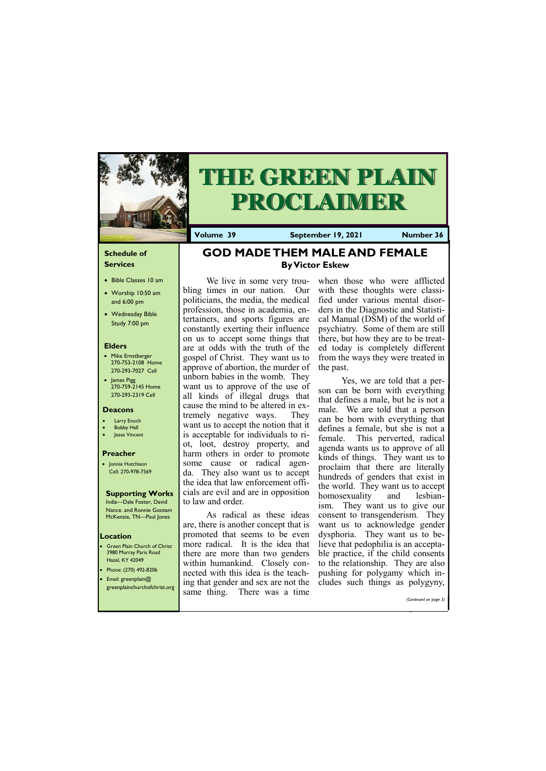#### **Schedule of Services**

- Bible Classes 10 am
- Worship 10:50 am and 6:00 pm
- Wednesday Bible Study 7:00 pm

#### **Elders**

- Mike Ernstberger 270-753-2108 Home 270-293-7027 Cell
- James Pigg 270-759-2145 Home 270-293-2319 Cell

- **Green Plain Church of Christ** 3980 Murray Paris Road Hazel, KY 42049 • Phone: (270) 492-8206
- Email: greenplain@

#### **Location**



# **THE GREEN PLAIN PROCLAIMER**

**Volume 39 September 19, 2021 Number 36**

#### **Deacons**

- **Larry Enoch**
- **Bobby Hall**
- Jesse Vincent

#### **Preacher**

• Jonnie Hutchison Cell: 270-978-7569

### **Supporting Works**

India—Dale Foster, David Nance. and Ronnie Gootam McKenzie, TN—Paul Jones

# **GOD MADE THEM MALE AND FEMALE By Victor Eskew**

We live in some very troubling times in our nation. Our politicians, the media, the medical profession, those in academia, entertainers, and sports figures are constantly exerting their influence on us to accept some things that are at odds with the truth of the gospel of Christ. They want us to approve of abortion, the murder of unborn babies in the womb. They want us to approve of the use of all kinds of illegal drugs that cause the mind to be altered in extremely negative ways. They want us to accept the notion that it is acceptable for individuals to riot, loot, destroy property, and harm others in order to promote some cause or radical agenda. They also want us to accept the idea that law enforcement officials are evil and are in opposition to law and order.

| greenplainchurchofchrist.org | $\mu$ ing that genuer and sex are not the cludes such things as porygyny,<br>same thing. There was a time |  |                       |
|------------------------------|-----------------------------------------------------------------------------------------------------------|--|-----------------------|
|                              |                                                                                                           |  | (Continued on page 3) |

As radical as these ideas are, there is another concept that is promoted that seems to be even more radical. It is the idea that there are more than two genders within humankind. Closely connected with this idea is the teaching that gender and sex are not the

when those who were afflicted with these thoughts were classified under various mental disorders in the Diagnostic and Statistical Manual (DSM) of the world of psychiatry. Some of them are still there, but how they are to be treated today is completely different from the ways they were treated in the past.

Yes, we are told that a person can be born with everything that defines a male, but he is not a male. We are told that a person can be born with everything that defines a female, but she is not a female. This perverted, radical agenda wants us to approve of all kinds of things. They want us to proclaim that there are literally hundreds of genders that exist in the world. They want us to accept homosexuality and lesbianism. They want us to give our consent to transgenderism. They want us to acknowledge gender dysphoria. They want us to believe that pedophilia is an acceptable practice, if the child consents to the relationship. They are also pushing for polygamy which includes such things as polygyny,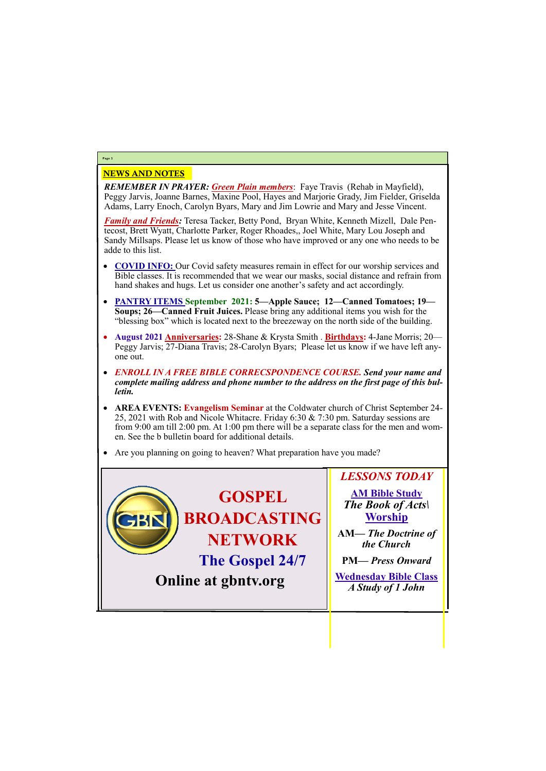## NEWS AND NOTES

*REMEMBER IN PRAYER: Green Plain members*: Faye Travis (Rehab in Mayfield), Peggy Jarvis, Joanne Barnes, Maxine Pool, Hayes and Marjorie Grady, Jim Fielder, Griselda Adams, Larry Enoch, Carolyn Byars, Mary and Jim Lowrie and Mary and Jesse Vincent.

- **COVID INFO:** Our Covid safety measures remain in effect for our worship services and Bible classes. It is recommended that we wear our masks, social distance and refrain from hand shakes and hugs. Let us consider one another's safety and act accordingly.
- **PANTRY ITEMS September 2021: 5—Apple Sauce; 12—Canned Tomatoes; 19— Soups; 26—Canned Fruit Juices.** Please bring any additional items you wish for the "blessing box" which is located next to the breezeway on the north side of the building.
- **August 2021 Anniversaries:** 28-Shane & Krysta Smith . **Birthdays:** 4-Jane Morris; 20— Peggy Jarvis; 27-Diana Travis; 28-Carolyn Byars; Please let us know if we have left anyone out.
- *ENROLL IN A FREE BIBLE CORRECSPONDENCE COURSE. Send your name and complete mailing address and phone number to the address on the first page of this bulletin.*
- **AREA EVENTS: Evangelism Seminar** at the Coldwater church of Christ September 24- 25, 2021 with Rob and Nicole Whitacre. Friday 6:30 & 7:30 pm. Saturday sessions are from 9:00 am till 2:00 pm. At 1:00 pm there will be a separate class for the men and women. See the b bulletin board for additional details.
- Are you planning on going to heaven? What preparation have you made?

*Family and Friends:* Teresa Tacker, Betty Pond, Bryan White, Kenneth Mizell, Dale Pentecost, Brett Wyatt, Charlotte Parker, Roger Rhoades,, Joel White, Mary Lou Joseph and Sandy Millsaps. Please let us know of those who have improved or any one who needs to be adde to this list.

# **Page 2**



| UININ at gunts. UI g | A Study of 1 John |
|----------------------|-------------------|
|                      |                   |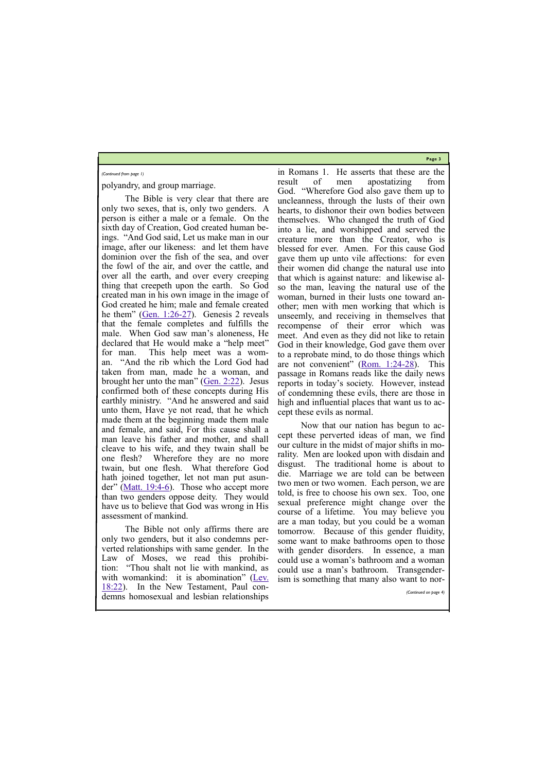**Page 3**

polyandry, and group marriage.

The Bible not only affirms there are only two genders, but it also condemns perverted relationships with same gender. In the Law of Moses, we read this prohibition: "Thou shalt not lie with mankind, as with womankind: it is abomination" (Lev.

The Bible is very clear that there are only two sexes, that is, only two genders. A person is either a male or a female. On the sixth day of Creation, God created human beings. "And God said, Let us make man in our image, after our likeness: and let them have dominion over the fish of the sea, and over the fowl of the air, and over the cattle, and over all the earth, and over every creeping thing that creepeth upon the earth. So God created man in his own image in the image of God created he him; male and female created he them" (Gen.  $1:26-27$ ). Genesis 2 reveals that the female completes and fulfills the male. When God saw man's aloneness, He declared that He would make a "help meet" for man. This help meet was a woman. "And the rib which the Lord God had taken from man, made he a woman, and brought her unto the man" ([Gen. 2:22\)](https://biblia.com/bible/kjv1900/Gen.%202.22). Jesus confirmed both of these concepts during His earthly ministry. "And he answered and said unto them, Have ye not read, that he which made them at the beginning made them male and female, and said, For this cause shall a man leave his father and mother, and shall cleave to his wife, and they twain shall be one flesh? Wherefore they are no more twain, but one flesh. What therefore God hath joined together, let not man put asunder" ([Matt. 19:4](https://biblia.com/bible/kjv1900/Matt.%2019.4-6)-6). Those who accept more than two genders oppose deity. They would have us to believe that God was wrong in His assessment of mankind.

[18:22\).](https://biblia.com/bible/kjv1900/Lev.%2018.22) In the New Testament, Paul condemns homosexual and lesbian relationships

in Romans 1. He asserts that these are the result of men apostatizing from God. "Wherefore God also gave them up to uncleanness, through the lusts of their own hearts, to dishonor their own bodies between themselves. Who changed the truth of God into a lie, and worshipped and served the creature more than the Creator, who is blessed for ever. Amen. For this cause God gave them up unto vile affections: for even their women did change the natural use into that which is against nature: and likewise also the man, leaving the natural use of the woman, burned in their lusts one toward another; men with men working that which is unseemly, and receiving in themselves that recompense of their error which was meet. And even as they did not like to retain God in their knowledge, God gave them over to a reprobate mind, to do those things which are not convenient" ([Rom. 1:24](https://biblia.com/bible/kjv1900/Rom.%201.24-28)-28). This passage in Romans reads like the daily news reports in today's society. However, instead of condemning these evils, there are those in high and influential places that want us to accept these evils as normal.

Now that our nation has begun to accept these perverted ideas of man, we find our culture in the midst of major shifts in morality. Men are looked upon with disdain and disgust. The traditional home is about to die. Marriage we are told can be between two men or two women. Each person, we are told, is free to choose his own sex. Too, one sexual preference might change over the course of a lifetime. You may believe you are a man today, but you could be a woman tomorrow. Because of this gender fluidity, some want to make bathrooms open to those with gender disorders. In essence, a man could use a woman's bathroom and a woman could use a man's bathroom. Transgenderism is something that many also want to nor-

#### *(Continued from page 1)*

*(Continued on page 4)*